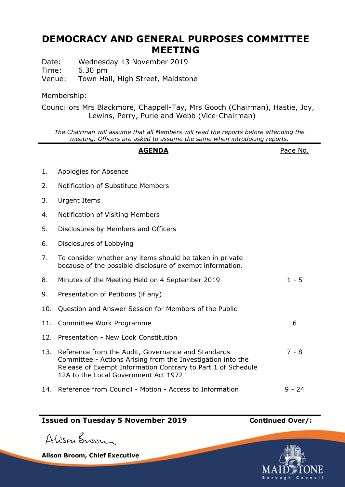# **DEMOCRACY AND GENERAL PURPOSES COMMITTEE MEETING**

Date: Wednesday 13 November 2019 Time: 6.30 pm Venue: Town Hall, High Street, Maidstone

## Membership:

Councillors Mrs Blackmore, Chappell-Tay, Mrs Gooch (Chairman), Hastie, Joy, Lewins, Perry, Purle and Webb (Vice-Chairman)

*The Chairman will assume that all Members will read the reports before attending the meeting. Officers are asked to assume the same when introducing reports.*

#### **AGENDA** Page No.

- 1. Apologies for Absence
- 2. Notification of Substitute Members
- 3. Urgent Items
- 4. Notification of Visiting Members
- 5. Disclosures by Members and Officers
- 6. Disclosures of Lobbying
- 7. To consider whether any items should be taken in private because of the possible disclosure of exempt information.
- 8. Minutes of the Meeting Held on 4 September 2019 1 5
- 9. Presentation of Petitions (if any)
- 10. Question and Answer Session for Members of the Public
- 11. Committee Work Programme 6 12. Presentation - New Look Constitution 13. Reference from the Audit, Governance and Standards Committee - Actions Arising from the Investigation into the Release of Exempt Information Contrary to Part 1 of Schedule 12A to the Local Government Act 1972 7 - 8 14. Reference from Council - Motion - Access to Information 9 - 24

# **Issued on Tuesday 5 November 2019 Continued Over/:**

Alison Broom

**Alison Broom, Chief Executive**